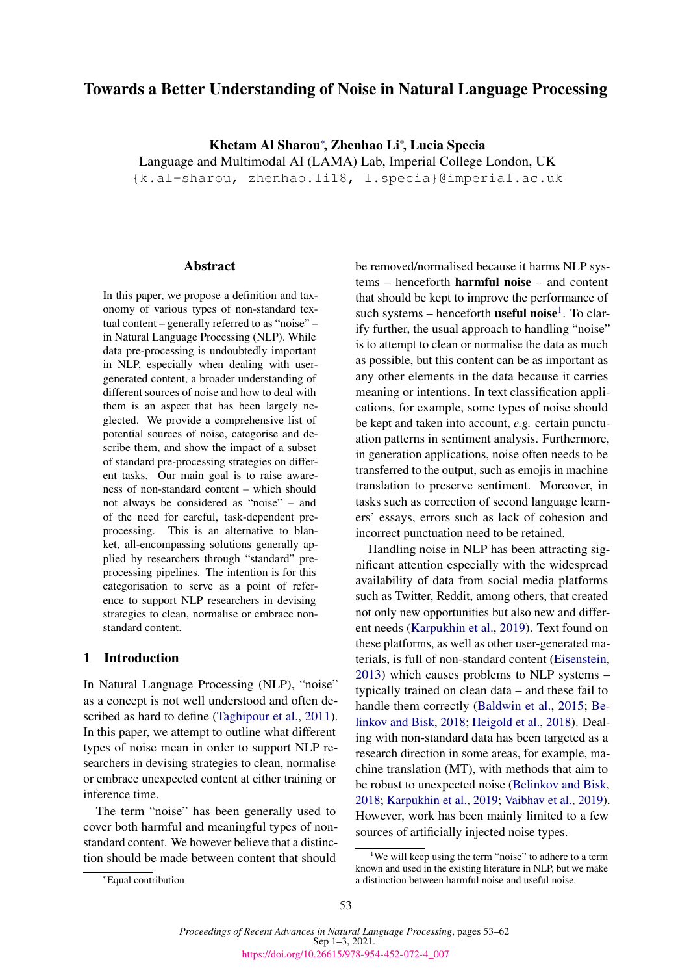# Towards a Better Understanding of Noise in Natural Language Processing

Khetam Al Sharou<sup>∗</sup> , Zhenhao Li<sup>∗</sup> , Lucia Specia

Language and Multimodal AI (LAMA) Lab, Imperial College London, UK {k.al-sharou, zhenhao.li18, l.specia}@imperial.ac.uk

### **Abstract**

In this paper, we propose a definition and taxonomy of various types of non-standard textual content – generally referred to as "noise" – in Natural Language Processing (NLP). While data pre-processing is undoubtedly important in NLP, especially when dealing with usergenerated content, a broader understanding of different sources of noise and how to deal with them is an aspect that has been largely neglected. We provide a comprehensive list of potential sources of noise, categorise and describe them, and show the impact of a subset of standard pre-processing strategies on different tasks. Our main goal is to raise awareness of non-standard content – which should not always be considered as "noise" – and of the need for careful, task-dependent preprocessing. This is an alternative to blanket, all-encompassing solutions generally applied by researchers through "standard" preprocessing pipelines. The intention is for this categorisation to serve as a point of reference to support NLP researchers in devising strategies to clean, normalise or embrace nonstandard content.

### 1 Introduction

In Natural Language Processing (NLP), "noise" as a concept is not well understood and often described as hard to define [\(Taghipour et al.,](#page-9-0) [2011\)](#page-9-0). In this paper, we attempt to outline what different types of noise mean in order to support NLP researchers in devising strategies to clean, normalise or embrace unexpected content at either training or inference time.

The term "noise" has been generally used to cover both harmful and meaningful types of nonstandard content. We however believe that a distinction should be made between content that should

be removed/normalised because it harms NLP systems – henceforth harmful noise – and content that should be kept to improve the performance of such systems - henceforth **useful noise**<sup>[1](#page-0-0)</sup>. To clarify further, the usual approach to handling "noise" is to attempt to clean or normalise the data as much as possible, but this content can be as important as any other elements in the data because it carries meaning or intentions. In text classification applications, for example, some types of noise should be kept and taken into account, *e.g.* certain punctuation patterns in sentiment analysis. Furthermore, in generation applications, noise often needs to be transferred to the output, such as emojis in machine translation to preserve sentiment. Moreover, in tasks such as correction of second language learners' essays, errors such as lack of cohesion and incorrect punctuation need to be retained.

Handling noise in NLP has been attracting significant attention especially with the widespread availability of data from social media platforms such as Twitter, Reddit, among others, that created not only new opportunities but also new and different needs [\(Karpukhin et al.,](#page-8-0) [2019\)](#page-8-0). Text found on these platforms, as well as other user-generated materials, is full of non-standard content [\(Eisenstein,](#page-8-1) [2013\)](#page-8-1) which causes problems to NLP systems – typically trained on clean data – and these fail to handle them correctly [\(Baldwin et al.,](#page-8-2) [2015;](#page-8-2) [Be](#page-8-3)[linkov and Bisk,](#page-8-3) [2018;](#page-8-3) [Heigold et al.,](#page-8-4) [2018\)](#page-8-4). Dealing with non-standard data has been targeted as a research direction in some areas, for example, machine translation (MT), with methods that aim to be robust to unexpected noise [\(Belinkov and Bisk,](#page-8-3) [2018;](#page-8-3) [Karpukhin et al.,](#page-8-0) [2019;](#page-8-0) [Vaibhav et al.,](#page-9-1) [2019\)](#page-9-1). However, work has been mainly limited to a few sources of artificially injected noise types.

<span id="page-0-0"></span><sup>&</sup>lt;sup>1</sup>We will keep using the term "noise" to adhere to a term known and used in the existing literature in NLP, but we make a distinction between harmful noise and useful noise.

<sup>∗</sup>Equal contribution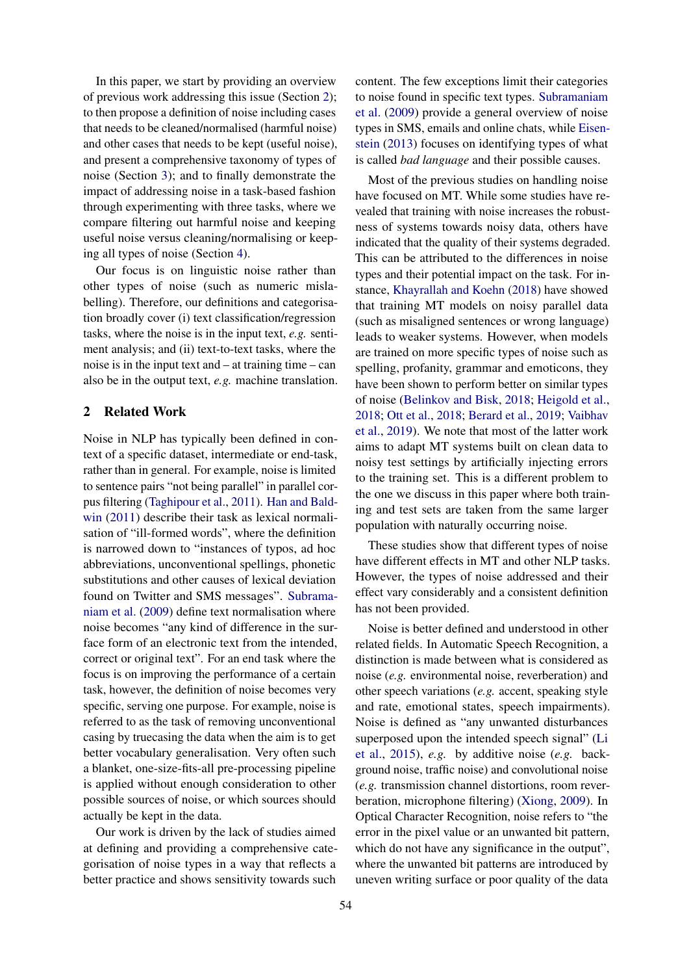In this paper, we start by providing an overview of previous work addressing this issue (Section [2\)](#page-1-0); to then propose a definition of noise including cases that needs to be cleaned/normalised (harmful noise) and other cases that needs to be kept (useful noise), and present a comprehensive taxonomy of types of noise (Section [3\)](#page-2-0); and to finally demonstrate the impact of addressing noise in a task-based fashion through experimenting with three tasks, where we compare filtering out harmful noise and keeping useful noise versus cleaning/normalising or keeping all types of noise (Section [4\)](#page-5-0).

Our focus is on linguistic noise rather than other types of noise (such as numeric mislabelling). Therefore, our definitions and categorisation broadly cover (i) text classification/regression tasks, where the noise is in the input text, *e.g.* sentiment analysis; and (ii) text-to-text tasks, where the noise is in the input text and  $-$  at training time  $-$  can also be in the output text, *e.g.* machine translation.

# <span id="page-1-0"></span>2 Related Work

Noise in NLP has typically been defined in context of a specific dataset, intermediate or end-task, rather than in general. For example, noise is limited to sentence pairs "not being parallel" in parallel corpus filtering [\(Taghipour et al.,](#page-9-0) [2011\)](#page-9-0). [Han and Bald](#page-8-5)[win](#page-8-5) [\(2011\)](#page-8-5) describe their task as lexical normalisation of "ill-formed words", where the definition is narrowed down to "instances of typos, ad hoc abbreviations, unconventional spellings, phonetic substitutions and other causes of lexical deviation found on Twitter and SMS messages". [Subrama](#page-9-2)[niam et al.](#page-9-2) [\(2009\)](#page-9-2) define text normalisation where noise becomes "any kind of difference in the surface form of an electronic text from the intended, correct or original text". For an end task where the focus is on improving the performance of a certain task, however, the definition of noise becomes very specific, serving one purpose. For example, noise is referred to as the task of removing unconventional casing by truecasing the data when the aim is to get better vocabulary generalisation. Very often such a blanket, one-size-fits-all pre-processing pipeline is applied without enough consideration to other possible sources of noise, or which sources should actually be kept in the data.

Our work is driven by the lack of studies aimed at defining and providing a comprehensive categorisation of noise types in a way that reflects a better practice and shows sensitivity towards such

content. The few exceptions limit their categories to noise found in specific text types. [Subramaniam](#page-9-2) [et al.](#page-9-2) [\(2009\)](#page-9-2) provide a general overview of noise types in SMS, emails and online chats, while [Eisen](#page-8-1)[stein](#page-8-1) [\(2013\)](#page-8-1) focuses on identifying types of what is called *bad language* and their possible causes.

Most of the previous studies on handling noise have focused on MT. While some studies have revealed that training with noise increases the robustness of systems towards noisy data, others have indicated that the quality of their systems degraded. This can be attributed to the differences in noise types and their potential impact on the task. For instance, [Khayrallah and Koehn](#page-9-3) [\(2018\)](#page-9-3) have showed that training MT models on noisy parallel data (such as misaligned sentences or wrong language) leads to weaker systems. However, when models are trained on more specific types of noise such as spelling, profanity, grammar and emoticons, they have been shown to perform better on similar types of noise [\(Belinkov and Bisk,](#page-8-3) [2018;](#page-8-3) [Heigold et al.,](#page-8-4) [2018;](#page-8-4) [Ott et al.,](#page-9-4) [2018;](#page-9-4) [Berard et al.,](#page-8-6) [2019;](#page-8-6) [Vaibhav](#page-9-1) [et al.,](#page-9-1) [2019\)](#page-9-1). We note that most of the latter work aims to adapt MT systems built on clean data to noisy test settings by artificially injecting errors to the training set. This is a different problem to the one we discuss in this paper where both training and test sets are taken from the same larger population with naturally occurring noise.

These studies show that different types of noise have different effects in MT and other NLP tasks. However, the types of noise addressed and their effect vary considerably and a consistent definition has not been provided.

Noise is better defined and understood in other related fields. In Automatic Speech Recognition, a distinction is made between what is considered as noise (*e.g.* environmental noise, reverberation) and other speech variations (*e.g.* accent, speaking style and rate, emotional states, speech impairments). Noise is defined as "any unwanted disturbances superposed upon the intended speech signal" [\(Li](#page-9-5) [et al.,](#page-9-5) [2015\)](#page-9-5), *e.g.* by additive noise (*e.g.* background noise, traffic noise) and convolutional noise (*e.g.* transmission channel distortions, room reverberation, microphone filtering) [\(Xiong,](#page-9-6) [2009\)](#page-9-6). In Optical Character Recognition, noise refers to "the error in the pixel value or an unwanted bit pattern, which do not have any significance in the output", where the unwanted bit patterns are introduced by uneven writing surface or poor quality of the data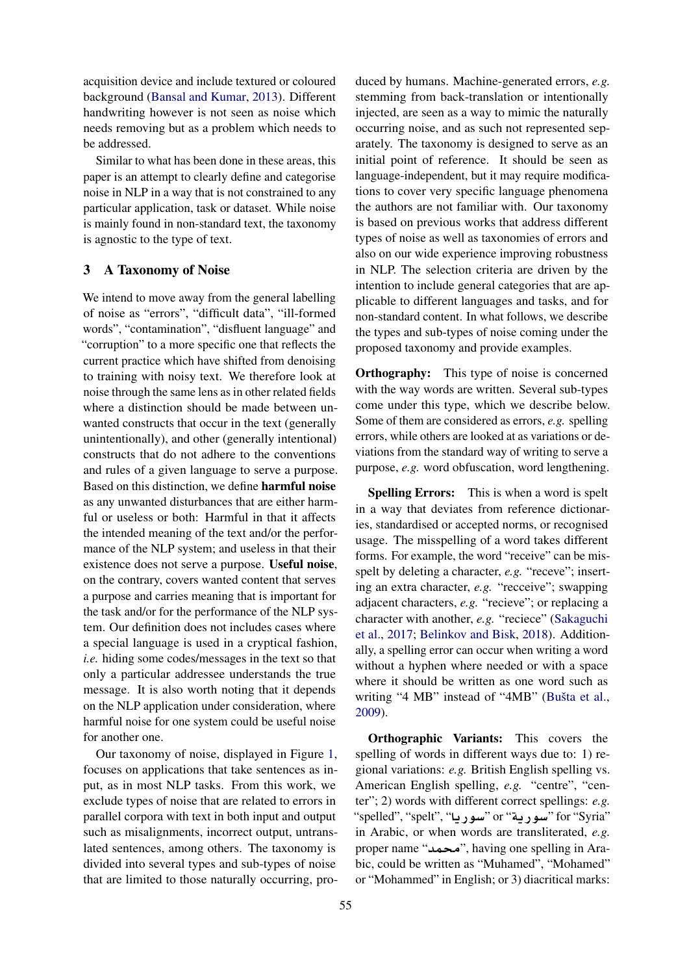acquisition device and include textured or coloured background [\(Bansal and Kumar,](#page-8-7) [2013\)](#page-8-7). Different handwriting however is not seen as noise which needs removing but as a problem which needs to be addressed.

Similar to what has been done in these areas, this paper is an attempt to clearly define and categorise noise in NLP in a way that is not constrained to any particular application, task or dataset. While noise is mainly found in non-standard text, the taxonomy is agnostic to the type of text.

# <span id="page-2-0"></span>3 A Taxonomy of Noise

We intend to move away from the general labelling of noise as "errors", "difficult data", "ill-formed words", "contamination", "disfluent language" and "corruption" to a more specific one that reflects the current practice which have shifted from denoising to training with noisy text. We therefore look at noise through the same lens as in other related fields where a distinction should be made between unwanted constructs that occur in the text (generally unintentionally), and other (generally intentional) constructs that do not adhere to the conventions and rules of a given language to serve a purpose. Based on this distinction, we define harmful noise as any unwanted disturbances that are either harmful or useless or both: Harmful in that it affects the intended meaning of the text and/or the performance of the NLP system; and useless in that their existence does not serve a purpose. Useful noise, on the contrary, covers wanted content that serves a purpose and carries meaning that is important for the task and/or for the performance of the NLP system. Our definition does not includes cases where a special language is used in a cryptical fashion, *i.e.* hiding some codes/messages in the text so that only a particular addressee understands the true message. It is also worth noting that it depends on the NLP application under consideration, where harmful noise for one system could be useful noise for another one.

Our taxonomy of noise, displayed in Figure [1,](#page-3-0) focuses on applications that take sentences as input, as in most NLP tasks. From this work, we exclude types of noise that are related to errors in parallel corpora with text in both input and output such as misalignments, incorrect output, untranslated sentences, among others. The taxonomy is divided into several types and sub-types of noise that are limited to those naturally occurring, pro-

duced by humans. Machine-generated errors, *e.g.* stemming from back-translation or intentionally injected, are seen as a way to mimic the naturally occurring noise, and as such not represented separately. The taxonomy is designed to serve as an initial point of reference. It should be seen as language-independent, but it may require modifications to cover very specific language phenomena the authors are not familiar with. Our taxonomy is based on previous works that address different types of noise as well as taxonomies of errors and also on our wide experience improving robustness in NLP. The selection criteria are driven by the intention to include general categories that are applicable to different languages and tasks, and for non-standard content. In what follows, we describe the types and sub-types of noise coming under the proposed taxonomy and provide examples.

**Orthography:** This type of noise is concerned with the way words are written. Several sub-types come under this type, which we describe below. Some of them are considered as errors, *e.g.* spelling errors, while others are looked at as variations or deviations from the standard way of writing to serve a purpose, *e.g.* word obfuscation, word lengthening.

Spelling Errors: This is when a word is spelt in a way that deviates from reference dictionaries, standardised or accepted norms, or recognised usage. The misspelling of a word takes different forms. For example, the word "receive" can be misspelt by deleting a character, *e.g.* "receve"; inserting an extra character, *e.g.* "recceive"; swapping adjacent characters, *e.g.* "recieve"; or replacing a character with another, *e.g.* "reciece" [\(Sakaguchi](#page-9-7) [et al.,](#page-9-7) [2017;](#page-9-7) [Belinkov and Bisk,](#page-8-3) [2018\)](#page-8-3). Additionally, a spelling error can occur when writing a word without a hyphen where needed or with a space where it should be written as one word such as writing "4 MB" instead of "4MB" [\(Bušta et al.,](#page-8-8) [2009\)](#page-8-8).

Orthographic Variants: This covers the spelling of words in different ways due to: 1) regional variations: *e.g.* British English spelling vs. American English spelling, *e.g.* "centre", "center"; 2) words with different correct spellings: *e.g.* "spelled", "spelt", **"سو د "a**" or "**سو د د "s**pelled", "spelled", " in Arabic, or when words are transliterated, *e.g.* proper name "محمد", having one spelling in Arabic, could be written as "Muhamed", "Mohamed" or "Mohammed" in English; or 3) diacritical marks: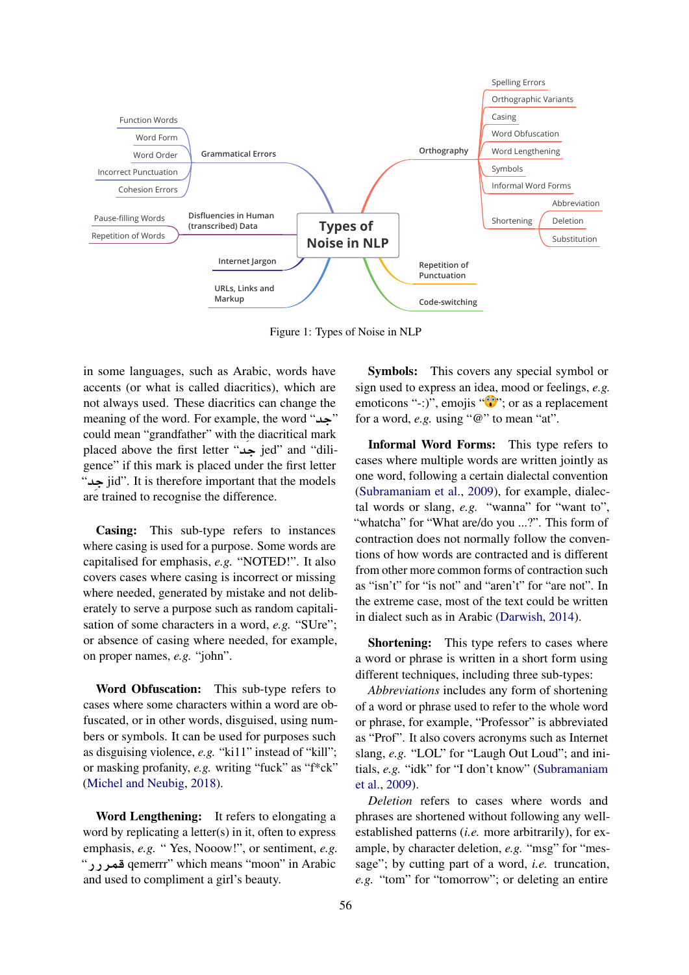<span id="page-3-0"></span>

Figure 1: Types of Noise in NLP

in some languages, such as Arabic, words have accents (or what is called diacritics), which are not always used. These diacritics can change the meaning of the word. For example, the word "حد" could mean "grandfather" with the diacritical mark placed above the first letter "**da** jed" and "diligence" if this mark is placed under the first letter "**di** jid". It is therefore important that the models are trained to recognise the difference.

Casing: This sub-type refers to instances where casing is used for a purpose. Some words are capitalised for emphasis, *e.g.* "NOTED!". It also covers cases where casing is incorrect or missing where needed, generated by mistake and not deliberately to serve a purpose such as random capitalisation of some characters in a word, *e.g.* "SUre"; or absence of casing where needed, for example, on proper names, *e.g.* "john".

Word Obfuscation: This sub-type refers to cases where some characters within a word are obfuscated, or in other words, disguised, using numbers or symbols. It can be used for purposes such as disguising violence, *e.g.* "ki11" instead of "kill"; or masking profanity, *e.g.* writing "fuck" as "f\*ck" [\(Michel and Neubig,](#page-9-8) [2018\)](#page-9-8).

Word Lengthening: It refers to elongating a word by replicating a letter(s) in it, often to express emphasis, *e.g.* " Yes, Nooow!", or sentiment, *e.g.* "**CCrm** qemerrr" which means "moon" in Arabic and used to compliment a girl's beauty.

Symbols: This covers any special symbol or sign used to express an idea, mood or feelings, *e.g.* emoticons "-:)", emojis " $\mathbb{P}$ "; or as a replacement for a word, *e.g.* using "@" to mean "at".

Informal Word Forms: This type refers to cases where multiple words are written jointly as one word, following a certain dialectal convention [\(Subramaniam et al.,](#page-9-2) [2009\)](#page-9-2), for example, dialectal words or slang, *e.g.* "wanna" for "want to", "whatcha" for "What are/do you ...?". This form of contraction does not normally follow the conventions of how words are contracted and is different from other more common forms of contraction such as "isn't" for "is not" and "aren't" for "are not". In the extreme case, most of the text could be written in dialect such as in Arabic [\(Darwish,](#page-8-9) [2014\)](#page-8-9).

Shortening: This type refers to cases where a word or phrase is written in a short form using different techniques, including three sub-types:

*Abbreviations* includes any form of shortening of a word or phrase used to refer to the whole word or phrase, for example, "Professor" is abbreviated as "Prof". It also covers acronyms such as Internet slang, *e.g.* "LOL" for "Laugh Out Loud"; and initials, *e.g.* "idk" for "I don't know" [\(Subramaniam](#page-9-2) [et al.,](#page-9-2) [2009\)](#page-9-2).

*Deletion* refers to cases where words and phrases are shortened without following any wellestablished patterns (*i.e.* more arbitrarily), for example, by character deletion, *e.g.* "msg" for "message"; by cutting part of a word, *i.e.* truncation, *e.g.* "tom" for "tomorrow"; or deleting an entire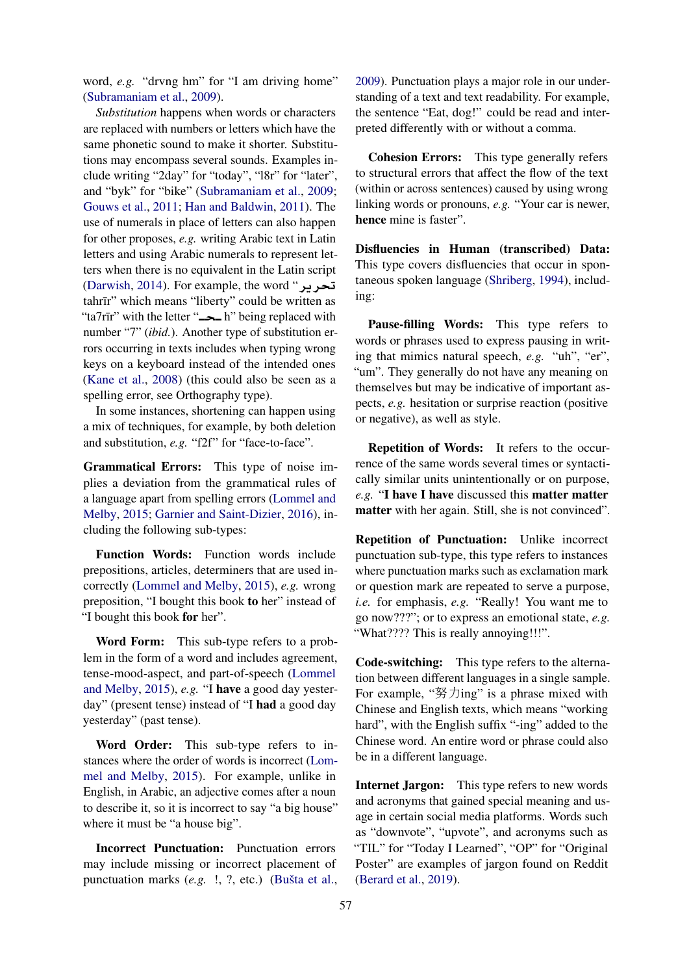word, *e.g.* "drvng hm" for "I am driving home" [\(Subramaniam et al.,](#page-9-2) [2009\)](#page-9-2).

*Substitution* happens when words or characters are replaced with numbers or letters which have the same phonetic sound to make it shorter. Substitutions may encompass several sounds. Examples include writing "2day" for "today", "l8r" for "later", and "byk" for "bike" [\(Subramaniam et al.,](#page-9-2) [2009;](#page-9-2) [Gouws et al.,](#page-8-10) [2011;](#page-8-10) [Han and Baldwin,](#page-8-5) [2011\)](#page-8-5). The use of numerals in place of letters can also happen for other proposes, *e.g.* writing Arabic text in Latin letters and using Arabic numerals to represent letters when there is no equivalent in the Latin script [\(Darwish,](#page-8-9) [2014\)](#page-8-9). For example, the word "**r§r** tahrīr" which means "liberty" could be written as "ta7rīr" with the letter "**<sub>pp</sub>** h" being replaced with number "7" (*ibid.*). Another type of substitution errors occurring in texts includes when typing wrong keys on a keyboard instead of the intended ones [\(Kane et al.,](#page-8-11) [2008\)](#page-8-11) (this could also be seen as a spelling error, see Orthography type).

In some instances, shortening can happen using a mix of techniques, for example, by both deletion and substitution, *e.g.* "f2f" for "face-to-face".

Grammatical Errors: This type of noise implies a deviation from the grammatical rules of a language apart from spelling errors [\(Lommel and](#page-9-9) [Melby,](#page-9-9) [2015;](#page-9-9) [Garnier and Saint-Dizier,](#page-8-12) [2016\)](#page-8-12), including the following sub-types:

Function Words: Function words include prepositions, articles, determiners that are used incorrectly [\(Lommel and Melby,](#page-9-9) [2015\)](#page-9-9), *e.g.* wrong preposition, "I bought this book to her" instead of "I bought this book for her".

Word Form: This sub-type refers to a problem in the form of a word and includes agreement, tense-mood-aspect, and part-of-speech [\(Lommel](#page-9-9) [and Melby,](#page-9-9) [2015\)](#page-9-9), *e.g.* "I have a good day yesterday" (present tense) instead of "I had a good day yesterday" (past tense).

Word Order: This sub-type refers to instances where the order of words is incorrect [\(Lom](#page-9-9)[mel and Melby,](#page-9-9) [2015\)](#page-9-9). For example, unlike in English, in Arabic, an adjective comes after a noun to describe it, so it is incorrect to say "a big house" where it must be "a house big".

Incorrect Punctuation: Punctuation errors may include missing or incorrect placement of punctuation marks (*e.g.* !, ?, etc.) [\(Bušta et al.,](#page-8-8)

[2009\)](#page-8-8). Punctuation plays a major role in our understanding of a text and text readability. For example, the sentence "Eat, dog!" could be read and interpreted differently with or without a comma.

Cohesion Errors: This type generally refers to structural errors that affect the flow of the text (within or across sentences) caused by using wrong linking words or pronouns, *e.g.* "Your car is newer, hence mine is faster".

Disfluencies in Human (transcribed) Data: This type covers disfluencies that occur in spontaneous spoken language [\(Shriberg,](#page-9-10) [1994\)](#page-9-10), including:

Pause-filling Words: This type refers to words or phrases used to express pausing in writing that mimics natural speech, *e.g.* "uh", "er", "um". They generally do not have any meaning on themselves but may be indicative of important aspects, *e.g.* hesitation or surprise reaction (positive or negative), as well as style.

Repetition of Words: It refers to the occurrence of the same words several times or syntactically similar units unintentionally or on purpose, *e.g.* "I have I have discussed this matter matter matter with her again. Still, she is not convinced".

Repetition of Punctuation: Unlike incorrect punctuation sub-type, this type refers to instances where punctuation marks such as exclamation mark or question mark are repeated to serve a purpose, *i.e.* for emphasis, *e.g.* "Really! You want me to go now???"; or to express an emotional state, *e.g.* "What???? This is really annoying!!!".

Code-switching: This type refers to the alternation between different languages in a single sample. For example, "努力ing" is a phrase mixed with Chinese and English texts, which means "working hard", with the English suffix "-ing" added to the Chinese word. An entire word or phrase could also be in a different language.

Internet Jargon: This type refers to new words and acronyms that gained special meaning and usage in certain social media platforms. Words such as "downvote", "upvote", and acronyms such as "TIL" for "Today I Learned", "OP" for "Original Poster" are examples of jargon found on Reddit [\(Berard et al.,](#page-8-6) [2019\)](#page-8-6).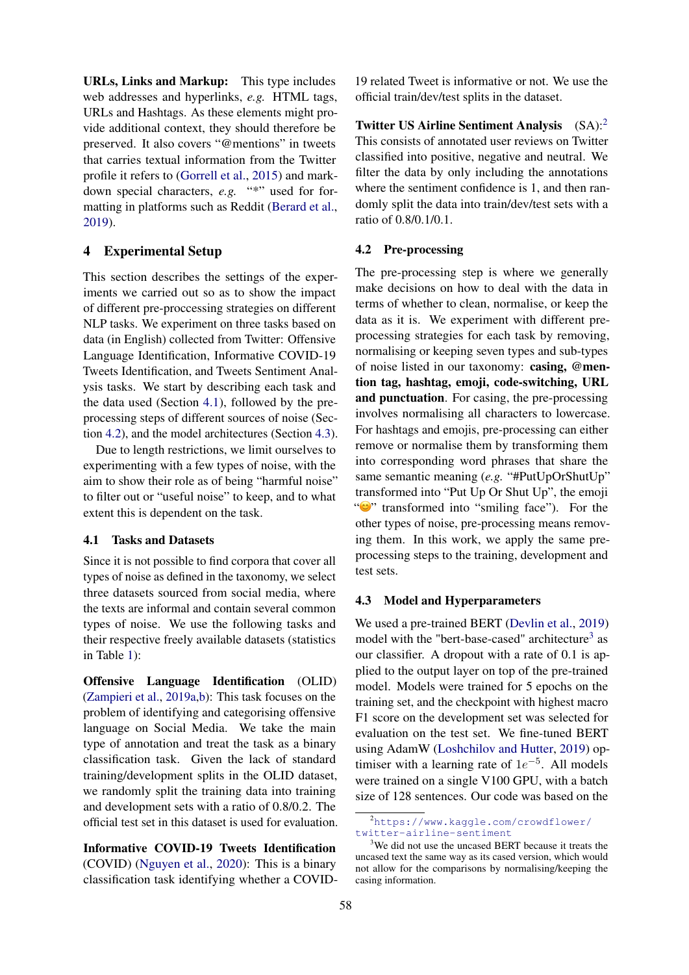URLs, Links and Markup: This type includes web addresses and hyperlinks, *e.g.* HTML tags, URLs and Hashtags. As these elements might provide additional context, they should therefore be preserved. It also covers "@mentions" in tweets that carries textual information from the Twitter profile it refers to [\(Gorrell et al.,](#page-8-13) [2015\)](#page-8-13) and markdown special characters, *e.g.* "\*" used for formatting in platforms such as Reddit [\(Berard et al.,](#page-8-6) [2019\)](#page-8-6).

### <span id="page-5-0"></span>4 Experimental Setup

This section describes the settings of the experiments we carried out so as to show the impact of different pre-proccessing strategies on different NLP tasks. We experiment on three tasks based on data (in English) collected from Twitter: Offensive Language Identification, Informative COVID-19 Tweets Identification, and Tweets Sentiment Analysis tasks. We start by describing each task and the data used (Section [4.1\)](#page-5-1), followed by the preprocessing steps of different sources of noise (Section [4.2\)](#page-5-2), and the model architectures (Section [4.3\)](#page-5-3).

Due to length restrictions, we limit ourselves to experimenting with a few types of noise, with the aim to show their role as of being "harmful noise" to filter out or "useful noise" to keep, and to what extent this is dependent on the task.

#### <span id="page-5-1"></span>4.1 Tasks and Datasets

Since it is not possible to find corpora that cover all types of noise as defined in the taxonomy, we select three datasets sourced from social media, where the texts are informal and contain several common types of noise. We use the following tasks and their respective freely available datasets (statistics in Table [1\)](#page-6-0):

Offensive Language Identification (OLID) [\(Zampieri et al.,](#page-9-11) [2019a](#page-9-11)[,b\)](#page-9-12): This task focuses on the problem of identifying and categorising offensive language on Social Media. We take the main type of annotation and treat the task as a binary classification task. Given the lack of standard training/development splits in the OLID dataset, we randomly split the training data into training and development sets with a ratio of 0.8/0.2. The official test set in this dataset is used for evaluation.

Informative COVID-19 Tweets Identification (COVID) [\(Nguyen et al.,](#page-9-13) [2020\)](#page-9-13): This is a binary classification task identifying whether a COVID-

19 related Tweet is informative or not. We use the official train/dev/test splits in the dataset.

Twitter US Airline Sentiment Analysis (SA):[2](#page-5-4) This consists of annotated user reviews on Twitter classified into positive, negative and neutral. We filter the data by only including the annotations where the sentiment confidence is 1, and then randomly split the data into train/dev/test sets with a ratio of 0.8/0.1/0.1.

#### <span id="page-5-2"></span>4.2 Pre-processing

The pre-processing step is where we generally make decisions on how to deal with the data in terms of whether to clean, normalise, or keep the data as it is. We experiment with different preprocessing strategies for each task by removing, normalising or keeping seven types and sub-types of noise listed in our taxonomy: casing, @mention tag, hashtag, emoji, code-switching, URL and punctuation. For casing, the pre-processing involves normalising all characters to lowercase. For hashtags and emojis, pre-processing can either remove or normalise them by transforming them into corresponding word phrases that share the same semantic meaning (*e.g.* "#PutUpOrShutUp" transformed into "Put Up Or Shut Up", the emoji " "" transformed into "smiling face"). For the other types of noise, pre-processing means removing them. In this work, we apply the same preprocessing steps to the training, development and test sets.

#### <span id="page-5-3"></span>4.3 Model and Hyperparameters

We used a pre-trained BERT [\(Devlin et al.,](#page-8-14) [2019\)](#page-8-14) model with the "bert-base-cased" architecture<sup>[3](#page-5-5)</sup> as our classifier. A dropout with a rate of 0.1 is applied to the output layer on top of the pre-trained model. Models were trained for 5 epochs on the training set, and the checkpoint with highest macro F1 score on the development set was selected for evaluation on the test set. We fine-tuned BERT using AdamW [\(Loshchilov and Hutter,](#page-9-14) [2019\)](#page-9-14) optimiser with a learning rate of  $1e^{-5}$ . All models were trained on a single V100 GPU, with a batch size of 128 sentences. Our code was based on the

<span id="page-5-4"></span><sup>2</sup>[https://www.kaggle.com/crowdflower/](https://www.kaggle.com/crowdflower/twitter-airline-sentiment) [twitter-airline-sentiment](https://www.kaggle.com/crowdflower/twitter-airline-sentiment)

<span id="page-5-5"></span><sup>&</sup>lt;sup>3</sup>We did not use the uncased BERT because it treats the uncased text the same way as its cased version, which would not allow for the comparisons by normalising/keeping the casing information.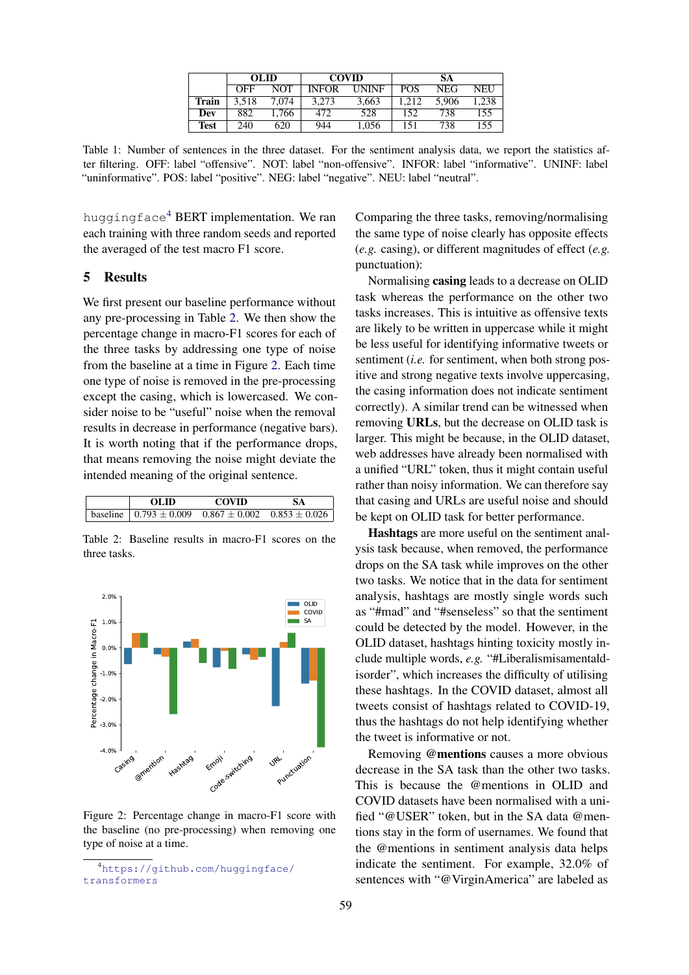|       | OL ID |       | <b>COVID</b> |              | SА         |       |      |
|-------|-------|-------|--------------|--------------|------------|-------|------|
|       | OFF   | NOT   | <b>INFOR</b> | <b>UNINE</b> | <b>POS</b> | NEG   | NEU  |
| Train | 3.518 | 7,074 | 3.273        | 3,663        | .212       | 5.906 | .238 |
| Dev   | 882   | 1.766 | 472          | 528          | 152        | 738   | 155  |
| Test  | 240   | 620   | 944          | 1.056        | 151        | 738   | 155  |

<span id="page-6-0"></span>Table 1: Number of sentences in the three dataset. For the sentiment analysis data, we report the statistics after filtering. OFF: label "offensive". NOT: label "non-offensive". INFOR: label "informative". UNINF: label "uninformative". POS: label "positive". NEG: label "negative". NEU: label "neutral".

huggingface<sup>[4](#page-6-1)</sup> BERT implementation. We ran each training with three random seeds and reported the averaged of the test macro F1 score.

# 5 Results

We first present our baseline performance without any pre-processing in Table [2.](#page-6-2) We then show the percentage change in macro-F1 scores for each of the three tasks by addressing one type of noise from the baseline at a time in Figure [2.](#page-6-3) Each time one type of noise is removed in the pre-processing except the casing, which is lowercased. We consider noise to be "useful" noise when the removal results in decrease in performance (negative bars). It is worth noting that if the performance drops, that means removing the noise might deviate the intended meaning of the original sentence.

<span id="page-6-2"></span>

| OL ID                                                                 | <b>COVID</b> | <b>SA</b> |
|-----------------------------------------------------------------------|--------------|-----------|
| baseline $\sqrt{0.793 \pm 0.009}$ $0.867 \pm 0.002$ $0.853 \pm 0.026$ |              |           |

Table 2: Baseline results in macro-F1 scores on the three tasks.

<span id="page-6-3"></span>

Figure 2: Percentage change in macro-F1 score with the baseline (no pre-processing) when removing one type of noise at a time.

Comparing the three tasks, removing/normalising the same type of noise clearly has opposite effects (*e.g.* casing), or different magnitudes of effect (*e.g.* punctuation):

Normalising casing leads to a decrease on OLID task whereas the performance on the other two tasks increases. This is intuitive as offensive texts are likely to be written in uppercase while it might be less useful for identifying informative tweets or sentiment (*i.e.* for sentiment, when both strong positive and strong negative texts involve uppercasing, the casing information does not indicate sentiment correctly). A similar trend can be witnessed when removing URLs, but the decrease on OLID task is larger. This might be because, in the OLID dataset, web addresses have already been normalised with a unified "URL" token, thus it might contain useful rather than noisy information. We can therefore say that casing and URLs are useful noise and should be kept on OLID task for better performance.

Hashtags are more useful on the sentiment analysis task because, when removed, the performance drops on the SA task while improves on the other two tasks. We notice that in the data for sentiment analysis, hashtags are mostly single words such as "#mad" and "#senseless" so that the sentiment could be detected by the model. However, in the OLID dataset, hashtags hinting toxicity mostly include multiple words, *e.g.* "#Liberalismisamentaldisorder", which increases the difficulty of utilising these hashtags. In the COVID dataset, almost all tweets consist of hashtags related to COVID-19, thus the hashtags do not help identifying whether the tweet is informative or not.

Removing @mentions causes a more obvious decrease in the SA task than the other two tasks. This is because the @mentions in OLID and COVID datasets have been normalised with a unified "@USER" token, but in the SA data @mentions stay in the form of usernames. We found that the @mentions in sentiment analysis data helps indicate the sentiment. For example, 32.0% of sentences with "@VirginAmerica" are labeled as

<span id="page-6-1"></span><sup>4</sup>[https://github.com/huggingface/](https://github.com/huggingface/transformers) [transformers](https://github.com/huggingface/transformers)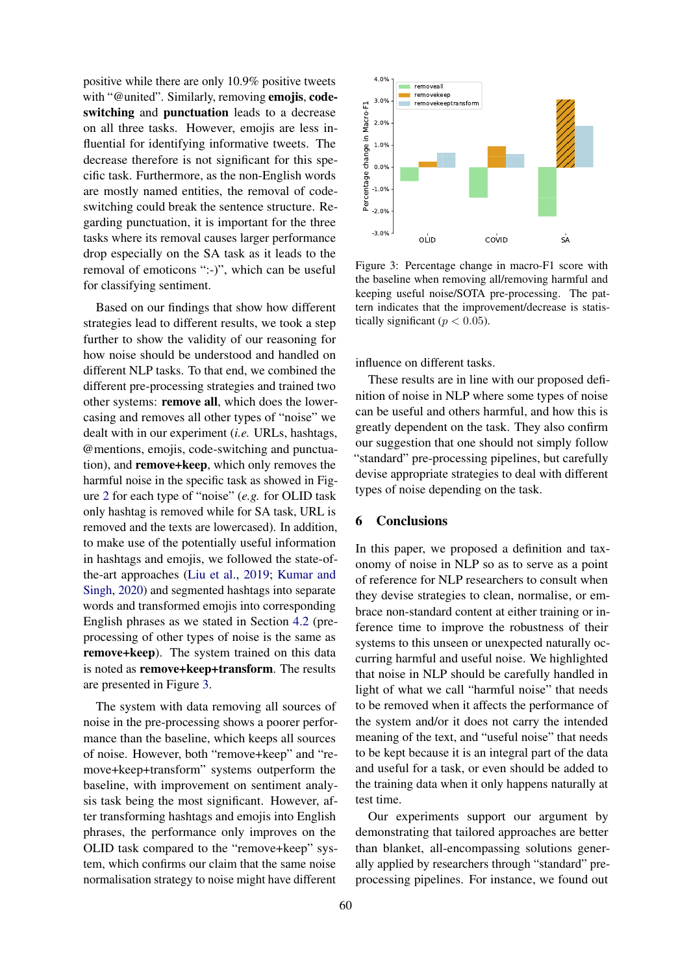positive while there are only 10.9% positive tweets with "@united". Similarly, removing emolis, codeswitching and punctuation leads to a decrease on all three tasks. However, emojis are less influential for identifying informative tweets. The decrease therefore is not significant for this specific task. Furthermore, as the non-English words are mostly named entities, the removal of codeswitching could break the sentence structure. Regarding punctuation, it is important for the three tasks where its removal causes larger performance drop especially on the SA task as it leads to the removal of emoticons ":-)", which can be useful for classifying sentiment.

Based on our findings that show how different strategies lead to different results, we took a step further to show the validity of our reasoning for how noise should be understood and handled on different NLP tasks. To that end, we combined the different pre-processing strategies and trained two other systems: remove all, which does the lowercasing and removes all other types of "noise" we dealt with in our experiment (*i.e.* URLs, hashtags, @mentions, emojis, code-switching and punctuation), and remove+keep, which only removes the harmful noise in the specific task as showed in Figure [2](#page-6-3) for each type of "noise" (*e.g.* for OLID task only hashtag is removed while for SA task, URL is removed and the texts are lowercased). In addition, to make use of the potentially useful information in hashtags and emojis, we followed the state-ofthe-art approaches [\(Liu et al.,](#page-9-15) [2019;](#page-9-15) [Kumar and](#page-9-16) [Singh,](#page-9-16) [2020\)](#page-9-16) and segmented hashtags into separate words and transformed emojis into corresponding English phrases as we stated in Section [4.2](#page-5-2) (preprocessing of other types of noise is the same as remove+keep). The system trained on this data is noted as remove+keep+transform. The results are presented in Figure [3.](#page-7-0)

The system with data removing all sources of noise in the pre-processing shows a poorer performance than the baseline, which keeps all sources of noise. However, both "remove+keep" and "remove+keep+transform" systems outperform the baseline, with improvement on sentiment analysis task being the most significant. However, after transforming hashtags and emojis into English phrases, the performance only improves on the OLID task compared to the "remove+keep" system, which confirms our claim that the same noise normalisation strategy to noise might have different

<span id="page-7-0"></span>

Figure 3: Percentage change in macro-F1 score with the baseline when removing all/removing harmful and keeping useful noise/SOTA pre-processing. The pattern indicates that the improvement/decrease is statistically significant ( $p < 0.05$ ).

influence on different tasks.

These results are in line with our proposed definition of noise in NLP where some types of noise can be useful and others harmful, and how this is greatly dependent on the task. They also confirm our suggestion that one should not simply follow "standard" pre-processing pipelines, but carefully devise appropriate strategies to deal with different types of noise depending on the task.

#### 6 Conclusions

In this paper, we proposed a definition and taxonomy of noise in NLP so as to serve as a point of reference for NLP researchers to consult when they devise strategies to clean, normalise, or embrace non-standard content at either training or inference time to improve the robustness of their systems to this unseen or unexpected naturally occurring harmful and useful noise. We highlighted that noise in NLP should be carefully handled in light of what we call "harmful noise" that needs to be removed when it affects the performance of the system and/or it does not carry the intended meaning of the text, and "useful noise" that needs to be kept because it is an integral part of the data and useful for a task, or even should be added to the training data when it only happens naturally at test time.

Our experiments support our argument by demonstrating that tailored approaches are better than blanket, all-encompassing solutions generally applied by researchers through "standard" preprocessing pipelines. For instance, we found out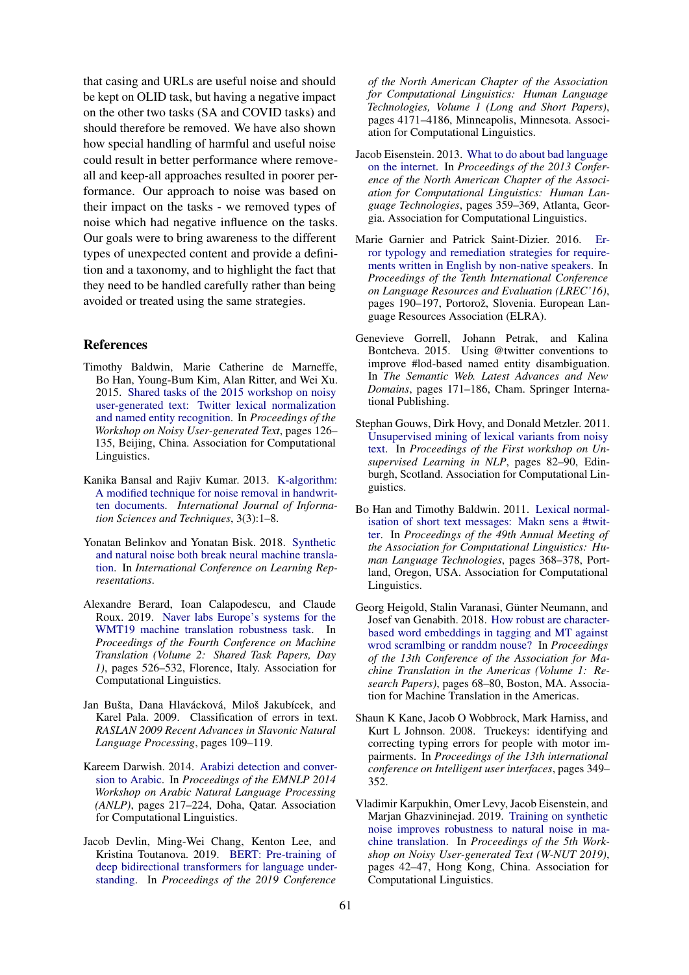that casing and URLs are useful noise and should be kept on OLID task, but having a negative impact on the other two tasks (SA and COVID tasks) and should therefore be removed. We have also shown how special handling of harmful and useful noise could result in better performance where removeall and keep-all approaches resulted in poorer performance. Our approach to noise was based on their impact on the tasks - we removed types of noise which had negative influence on the tasks. Our goals were to bring awareness to the different types of unexpected content and provide a definition and a taxonomy, and to highlight the fact that they need to be handled carefully rather than being avoided or treated using the same strategies.

#### References

- <span id="page-8-2"></span>Timothy Baldwin, Marie Catherine de Marneffe, Bo Han, Young-Bum Kim, Alan Ritter, and Wei Xu. 2015. [Shared tasks of the 2015 workshop on noisy](https://doi.org/10.18653/v1/W15-4319) [user-generated text: Twitter lexical normalization](https://doi.org/10.18653/v1/W15-4319) [and named entity recognition.](https://doi.org/10.18653/v1/W15-4319) In *Proceedings of the Workshop on Noisy User-generated Text*, pages 126– 135, Beijing, China. Association for Computational Linguistics.
- <span id="page-8-7"></span>Kanika Bansal and Rajiv Kumar. 2013. [K-algorithm:](https://doi.org/10.5121/ijist.2013.3301) [A modified technique for noise removal in handwrit](https://doi.org/10.5121/ijist.2013.3301)[ten documents.](https://doi.org/10.5121/ijist.2013.3301) *International Journal of Information Sciences and Techniques*, 3(3):1–8.
- <span id="page-8-3"></span>Yonatan Belinkov and Yonatan Bisk. 2018. [Synthetic](https://openreview.net/forum?id=BJ8vJebC-) [and natural noise both break neural machine transla](https://openreview.net/forum?id=BJ8vJebC-)[tion.](https://openreview.net/forum?id=BJ8vJebC-) In *International Conference on Learning Representations*.
- <span id="page-8-6"></span>Alexandre Berard, Ioan Calapodescu, and Claude Roux. 2019. [Naver labs Europe's systems for the](https://doi.org/10.18653/v1/W19-5361) [WMT19 machine translation robustness task.](https://doi.org/10.18653/v1/W19-5361) In *Proceedings of the Fourth Conference on Machine Translation (Volume 2: Shared Task Papers, Day 1)*, pages 526–532, Florence, Italy. Association for Computational Linguistics.
- <span id="page-8-8"></span>Jan Bušta, Dana Hlavácková, Miloš Jakubícek, and Karel Pala. 2009. Classification of errors in text. *RASLAN 2009 Recent Advances in Slavonic Natural Language Processing*, pages 109–119.
- <span id="page-8-9"></span>Kareem Darwish. 2014. [Arabizi detection and conver](https://doi.org/10.3115/v1/W14-3629)[sion to Arabic.](https://doi.org/10.3115/v1/W14-3629) In *Proceedings of the EMNLP 2014 Workshop on Arabic Natural Language Processing (ANLP)*, pages 217–224, Doha, Qatar. Association for Computational Linguistics.
- <span id="page-8-14"></span>Jacob Devlin, Ming-Wei Chang, Kenton Lee, and Kristina Toutanova. 2019. [BERT: Pre-training of](https://doi.org/10.18653/v1/N19-1423) [deep bidirectional transformers for language under](https://doi.org/10.18653/v1/N19-1423)[standing.](https://doi.org/10.18653/v1/N19-1423) In *Proceedings of the 2019 Conference*

*of the North American Chapter of the Association for Computational Linguistics: Human Language Technologies, Volume 1 (Long and Short Papers)*, pages 4171–4186, Minneapolis, Minnesota. Association for Computational Linguistics.

- <span id="page-8-1"></span>Jacob Eisenstein. 2013. [What to do about bad language](https://www.aclweb.org/anthology/N13-1037) [on the internet.](https://www.aclweb.org/anthology/N13-1037) In *Proceedings of the 2013 Conference of the North American Chapter of the Association for Computational Linguistics: Human Language Technologies*, pages 359–369, Atlanta, Georgia. Association for Computational Linguistics.
- <span id="page-8-12"></span>Marie Garnier and Patrick Saint-Dizier. 2016. [Er](https://aclanthology.org/L16-1029)[ror typology and remediation strategies for require](https://aclanthology.org/L16-1029)[ments written in English by non-native speakers.](https://aclanthology.org/L16-1029) In *Proceedings of the Tenth International Conference on Language Resources and Evaluation (LREC'16)*, pages 190–197, Portorož, Slovenia. European Language Resources Association (ELRA).
- <span id="page-8-13"></span>Genevieve Gorrell, Johann Petrak, and Kalina Bontcheva. 2015. Using @twitter conventions to improve #lod-based named entity disambiguation. In *The Semantic Web. Latest Advances and New Domains*, pages 171–186, Cham. Springer International Publishing.
- <span id="page-8-10"></span>Stephan Gouws, Dirk Hovy, and Donald Metzler. 2011. [Unsupervised mining of lexical variants from noisy](https://www.aclweb.org/anthology/W11-2210) [text.](https://www.aclweb.org/anthology/W11-2210) In *Proceedings of the First workshop on Unsupervised Learning in NLP*, pages 82–90, Edinburgh, Scotland. Association for Computational Linguistics.
- <span id="page-8-5"></span>Bo Han and Timothy Baldwin. 2011. [Lexical normal](https://www.aclweb.org/anthology/P11-1038)[isation of short text messages: Makn sens a #twit](https://www.aclweb.org/anthology/P11-1038)[ter.](https://www.aclweb.org/anthology/P11-1038) In *Proceedings of the 49th Annual Meeting of the Association for Computational Linguistics: Human Language Technologies*, pages 368–378, Portland, Oregon, USA. Association for Computational Linguistics.
- <span id="page-8-4"></span>Georg Heigold, Stalin Varanasi, Günter Neumann, and Josef van Genabith. 2018. [How robust are character](https://www.aclweb.org/anthology/W18-1807)[based word embeddings in tagging and MT against](https://www.aclweb.org/anthology/W18-1807) [wrod scramlbing or randdm nouse?](https://www.aclweb.org/anthology/W18-1807) In *Proceedings of the 13th Conference of the Association for Machine Translation in the Americas (Volume 1: Research Papers)*, pages 68–80, Boston, MA. Association for Machine Translation in the Americas.
- <span id="page-8-11"></span>Shaun K Kane, Jacob O Wobbrock, Mark Harniss, and Kurt L Johnson. 2008. Truekeys: identifying and correcting typing errors for people with motor impairments. In *Proceedings of the 13th international conference on Intelligent user interfaces*, pages 349– 352.
- <span id="page-8-0"></span>Vladimir Karpukhin, Omer Levy, Jacob Eisenstein, and Marjan Ghazvininejad. 2019. [Training on synthetic](https://doi.org/10.18653/v1/D19-5506) [noise improves robustness to natural noise in ma](https://doi.org/10.18653/v1/D19-5506)[chine translation.](https://doi.org/10.18653/v1/D19-5506) In *Proceedings of the 5th Workshop on Noisy User-generated Text (W-NUT 2019)*, pages 42–47, Hong Kong, China. Association for Computational Linguistics.